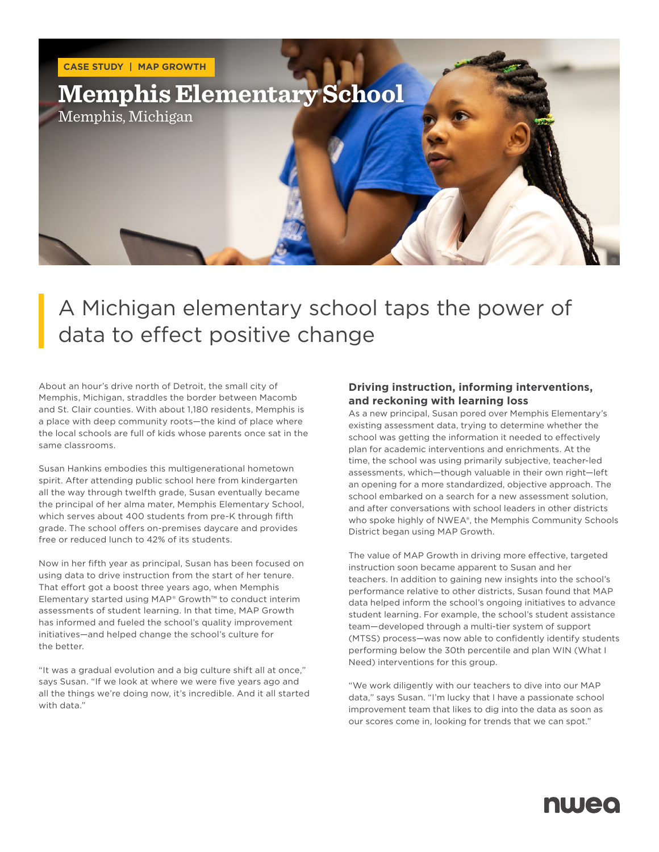

## A Michigan elementary school taps the power of data to effect positive change

About an hour's drive north of Detroit, the small city of Memphis, Michigan, straddles the border between Macomb and St. Clair counties. With about 1,180 residents, Memphis is a place with deep community roots—the kind of place where the local schools are full of kids whose parents once sat in the same classrooms.

Susan Hankins embodies this multigenerational hometown spirit. After attending public school here from kindergarten all the way through twelfth grade, Susan eventually became the principal of her alma mater, Memphis Elementary School, which serves about 400 students from pre-K through fifth grade. The school offers on-premises daycare and provides free or reduced lunch to 42% of its students.

Now in her fifth year as principal, Susan has been focused on using data to drive instruction from the start of her tenure. That effort got a boost three years ago, when Memphis Elementary started using MAP® Growth™ to conduct interim assessments of student learning. In that time, MAP Growth has informed and fueled the school's quality improvement initiatives—and helped change the school's culture for the better.

"It was a gradual evolution and a big culture shift all at once," says Susan. "If we look at where we were five years ago and all the things we're doing now, it's incredible. And it all started with data."

#### **Driving instruction, informing interventions, and reckoning with learning loss**

As a new principal, Susan pored over Memphis Elementary's existing assessment data, trying to determine whether the school was getting the information it needed to effectively plan for academic interventions and enrichments. At the time, the school was using primarily subjective, teacher-led assessments, which—though valuable in their own right—left an opening for a more standardized, objective approach. The school embarked on a search for a new assessment solution, and after conversations with school leaders in other districts who spoke highly of NWEA®, the Memphis Community Schools District began using MAP Growth.

The value of MAP Growth in driving more effective, targeted instruction soon became apparent to Susan and her teachers. In addition to gaining new insights into the school's performance relative to other districts, Susan found that MAP data helped inform the school's ongoing initiatives to advance student learning. For example, the school's student assistance team—developed through a multi-tier system of support (MTSS) process—was now able to confidently identify students performing below the 30th percentile and plan WIN (What I Need) interventions for this group.

"We work diligently with our teachers to dive into our MAP data," says Susan. "I'm lucky that I have a passionate school improvement team that likes to dig into the data as soon as our scores come in, looking for trends that we can spot."